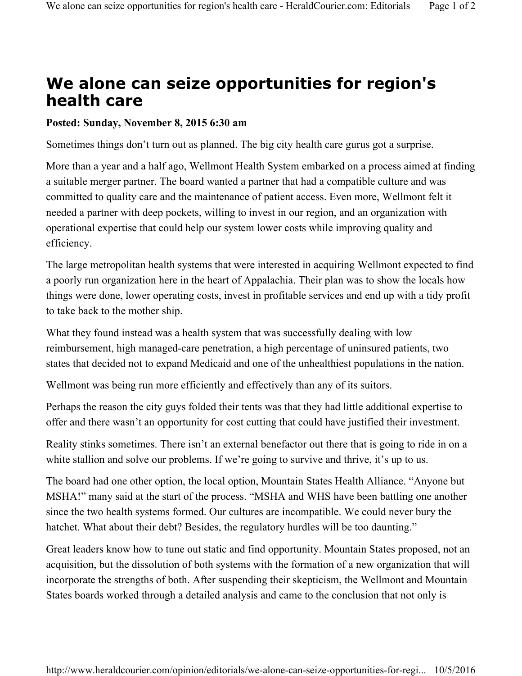## **We alone can seize opportunities for region's health care**

## **Posted: Sunday, November 8, 2015 6:30 am**

Sometimes things don't turn out as planned. The big city health care gurus got a surprise.

More than a year and a half ago, Wellmont Health System embarked on a process aimed at finding a suitable merger partner. The board wanted a partner that had a compatible culture and was committed to quality care and the maintenance of patient access. Even more, Wellmont felt it needed a partner with deep pockets, willing to invest in our region, and an organization with operational expertise that could help our system lower costs while improving quality and efficiency.

The large metropolitan health systems that were interested in acquiring Wellmont expected to find a poorly run organization here in the heart of Appalachia. Their plan was to show the locals how things were done, lower operating costs, invest in profitable services and end up with a tidy profit to take back to the mother ship.

What they found instead was a health system that was successfully dealing with low reimbursement, high managed-care penetration, a high percentage of uninsured patients, two states that decided not to expand Medicaid and one of the unhealthiest populations in the nation.

Wellmont was being run more efficiently and effectively than any of its suitors.

Perhaps the reason the city guys folded their tents was that they had little additional expertise to offer and there wasn't an opportunity for cost cutting that could have justified their investment.

Reality stinks sometimes. There isn't an external benefactor out there that is going to ride in on a white stallion and solve our problems. If we're going to survive and thrive, it's up to us.

The board had one other option, the local option, Mountain States Health Alliance. "Anyone but MSHA!" many said at the start of the process. "MSHA and WHS have been battling one another since the two health systems formed. Our cultures are incompatible. We could never bury the hatchet. What about their debt? Besides, the regulatory hurdles will be too daunting."

Great leaders know how to tune out static and find opportunity. Mountain States proposed, not an acquisition, but the dissolution of both systems with the formation of a new organization that will incorporate the strengths of both. After suspending their skepticism, the Wellmont and Mountain States boards worked through a detailed analysis and came to the conclusion that not only is